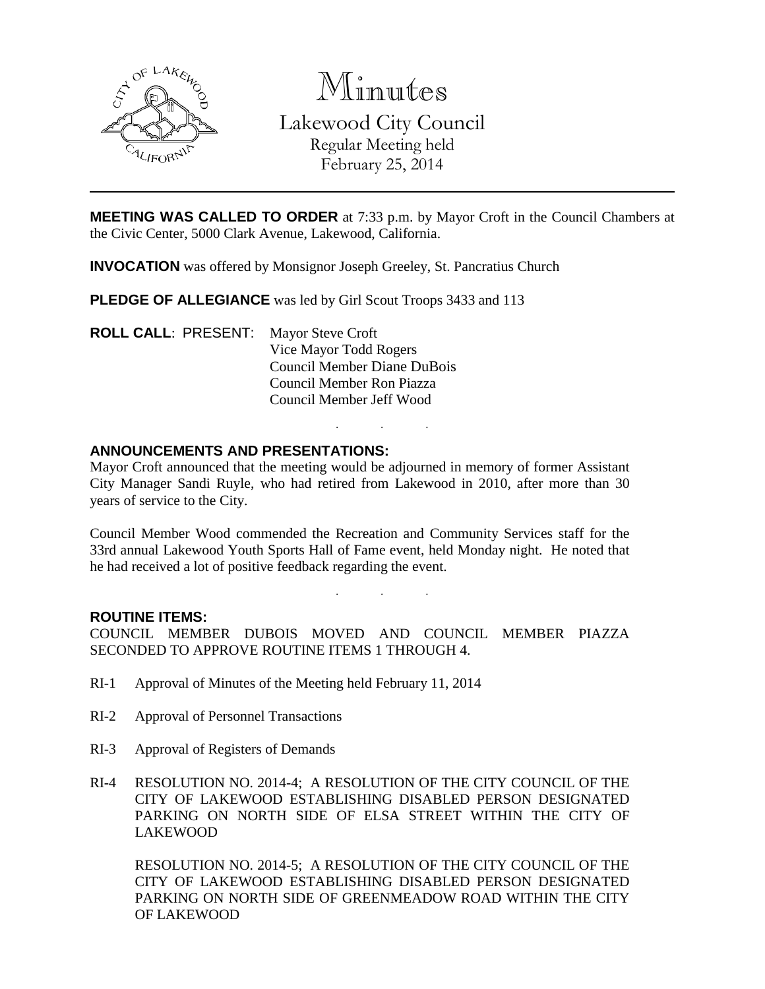

Minutes

Lakewood City Council Regular Meeting held February 25, 2014

**MEETING WAS CALLED TO ORDER** at 7:33 p.m. by Mayor Croft in the Council Chambers at the Civic Center, 5000 Clark Avenue, Lakewood, California.

**INVOCATION** was offered by Monsignor Joseph Greeley, St. Pancratius Church

**PLEDGE OF ALLEGIANCE** was led by Girl Scout Troops 3433 and 113

**ROLL CALL**: PRESENT: Mayor Steve Croft Vice Mayor Todd Rogers Council Member Diane DuBois Council Member Ron Piazza Council Member Jeff Wood

## **ANNOUNCEMENTS AND PRESENTATIONS:**

Mayor Croft announced that the meeting would be adjourned in memory of former Assistant City Manager Sandi Ruyle, who had retired from Lakewood in 2010, after more than 30 years of service to the City.

. . .

Council Member Wood commended the Recreation and Community Services staff for the 33rd annual Lakewood Youth Sports Hall of Fame event, held Monday night. He noted that he had received a lot of positive feedback regarding the event.

. . .

### **ROUTINE ITEMS:**

COUNCIL MEMBER DUBOIS MOVED AND COUNCIL MEMBER PIAZZA SECONDED TO APPROVE ROUTINE ITEMS 1 THROUGH 4.

- RI-1 Approval of Minutes of the Meeting held February 11, 2014
- RI-2 Approval of Personnel Transactions
- RI-3 Approval of Registers of Demands
- RI-4 RESOLUTION NO. 2014-4; A RESOLUTION OF THE CITY COUNCIL OF THE CITY OF LAKEWOOD ESTABLISHING DISABLED PERSON DESIGNATED PARKING ON NORTH SIDE OF ELSA STREET WITHIN THE CITY OF LAKEWOOD

RESOLUTION NO. 2014-5; A RESOLUTION OF THE CITY COUNCIL OF THE CITY OF LAKEWOOD ESTABLISHING DISABLED PERSON DESIGNATED PARKING ON NORTH SIDE OF GREENMEADOW ROAD WITHIN THE CITY OF LAKEWOOD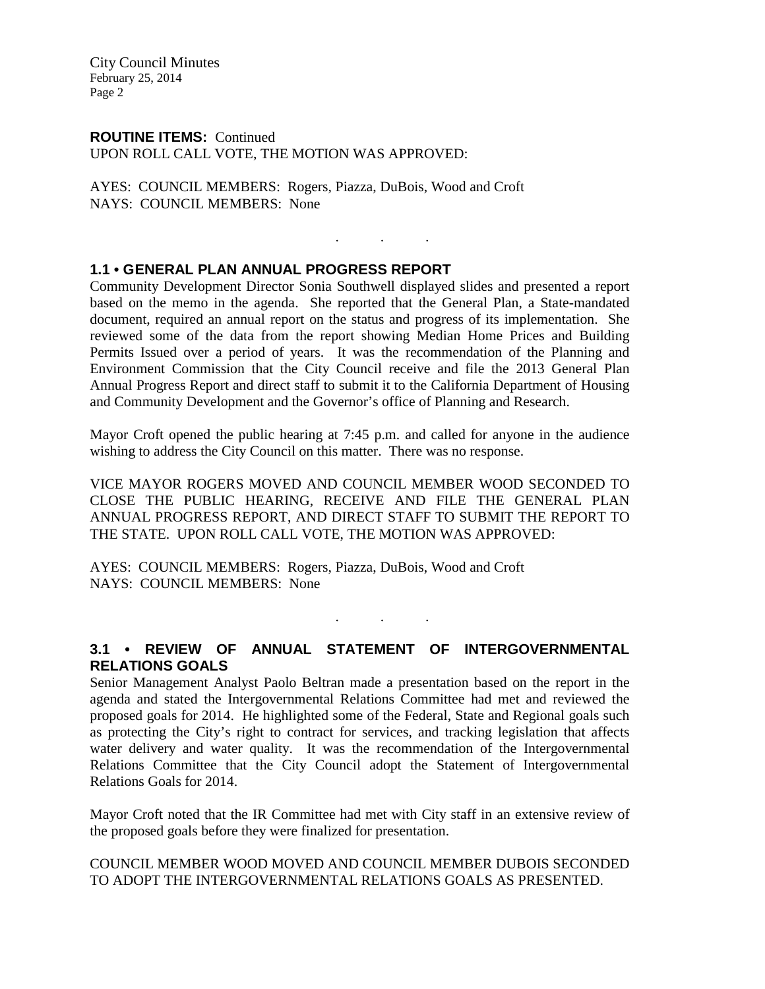City Council Minutes February 25, 2014 Page 2

# **ROUTINE ITEMS:** Continued

UPON ROLL CALL VOTE, THE MOTION WAS APPROVED:

AYES: COUNCIL MEMBERS: Rogers, Piazza, DuBois, Wood and Croft NAYS: COUNCIL MEMBERS: None

# **1.1 • GENERAL PLAN ANNUAL PROGRESS REPORT**

Community Development Director Sonia Southwell displayed slides and presented a report based on the memo in the agenda. She reported that the General Plan, a State-mandated document, required an annual report on the status and progress of its implementation. She reviewed some of the data from the report showing Median Home Prices and Building Permits Issued over a period of years. It was the recommendation of the Planning and Environment Commission that the City Council receive and file the 2013 General Plan Annual Progress Report and direct staff to submit it to the California Department of Housing and Community Development and the Governor's office of Planning and Research.

. . .

Mayor Croft opened the public hearing at 7:45 p.m. and called for anyone in the audience wishing to address the City Council on this matter. There was no response.

VICE MAYOR ROGERS MOVED AND COUNCIL MEMBER WOOD SECONDED TO CLOSE THE PUBLIC HEARING, RECEIVE AND FILE THE GENERAL PLAN ANNUAL PROGRESS REPORT, AND DIRECT STAFF TO SUBMIT THE REPORT TO THE STATE. UPON ROLL CALL VOTE, THE MOTION WAS APPROVED:

AYES: COUNCIL MEMBERS: Rogers, Piazza, DuBois, Wood and Croft NAYS: COUNCIL MEMBERS: None

**3.1 • REVIEW OF ANNUAL STATEMENT OF INTERGOVERNMENTAL RELATIONS GOALS**

. . .

Senior Management Analyst Paolo Beltran made a presentation based on the report in the agenda and stated the Intergovernmental Relations Committee had met and reviewed the proposed goals for 2014. He highlighted some of the Federal, State and Regional goals such as protecting the City's right to contract for services, and tracking legislation that affects water delivery and water quality. It was the recommendation of the Intergovernmental Relations Committee that the City Council adopt the Statement of Intergovernmental Relations Goals for 2014.

Mayor Croft noted that the IR Committee had met with City staff in an extensive review of the proposed goals before they were finalized for presentation.

COUNCIL MEMBER WOOD MOVED AND COUNCIL MEMBER DUBOIS SECONDED TO ADOPT THE INTERGOVERNMENTAL RELATIONS GOALS AS PRESENTED.